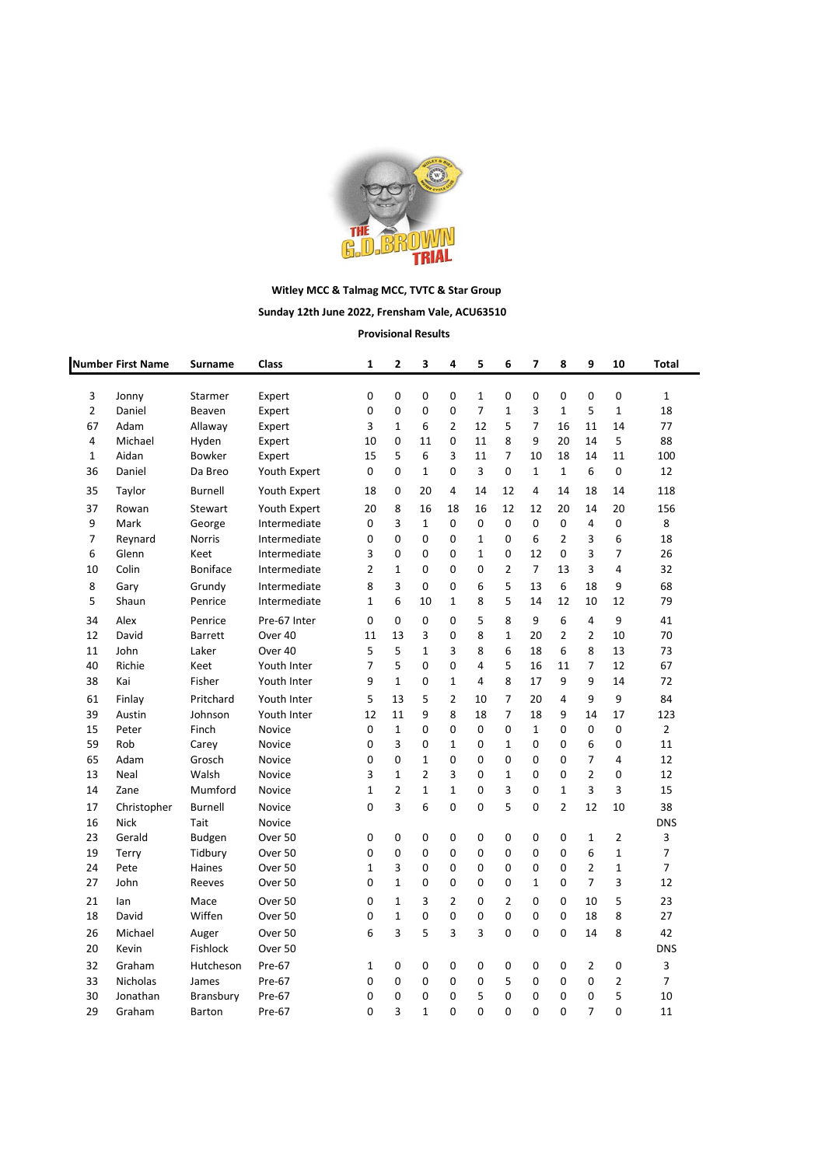

## **Witley MCC & Talmag MCC, TVTC & Star Group**

## **Sunday 12th June 2022, Frensham Vale, ACU63510**

**Provisional Results**

|                | <b>Number First Name</b> | Surname        | Class              | $\mathbf{1}$   | $\overline{2}$ | 3              | 4              | 5              | 6              | 7              | 8              | 9              | 10             | Total          |
|----------------|--------------------------|----------------|--------------------|----------------|----------------|----------------|----------------|----------------|----------------|----------------|----------------|----------------|----------------|----------------|
| 3              | Jonny                    | Starmer        | Expert             | 0              | 0              | 0              | 0              | $\mathbf{1}$   | 0              | 0              | 0              | 0              | 0              | $\mathbf{1}$   |
| $\overline{2}$ | Daniel                   | Beaven         | Expert             | 0              | 0              | 0              | 0              | $\overline{7}$ | 1              | 3              | $\mathbf{1}$   | 5              | 1              | 18             |
| 67             | Adam                     | Allaway        | Expert             | 3              | $\mathbf{1}$   | 6              | $\overline{2}$ | 12             | 5              | $\overline{7}$ | 16             | 11             | 14             | 77             |
| 4              | Michael                  | Hyden          | Expert             | 10             | 0              | 11             | $\mathbf 0$    | 11             | 8              | 9              | 20             | 14             | 5              | 88             |
| 1              | Aidan                    | Bowker         | Expert             | 15             | 5              | 6              | 3              | 11             | 7              | 10             | 18             | 14             | 11             | 100            |
| 36             | Daniel                   | Da Breo        | Youth Expert       | $\Omega$       | 0              | $\mathbf{1}$   | $\Omega$       | 3              | 0              | 1              | $\mathbf{1}$   | 6              | 0              | 12             |
| 35             | Taylor                   | Burnell        | Youth Expert       | 18             | 0              | 20             | 4              | 14             | 12             | 4              | 14             | 18             | 14             | 118            |
| 37             | Rowan                    | Stewart        | Youth Expert       | 20             | 8              | 16             | 18             | 16             | 12             | 12             | 20             | 14             | 20             | 156            |
| 9              | Mark                     | George         | Intermediate       | 0              | 3              | $\mathbf{1}$   | $\mathbf 0$    | 0              | 0              | 0              | 0              | 4              | 0              | 8              |
| $\overline{7}$ | Reynard                  | Norris         | Intermediate       | 0              | 0              | 0              | $\Omega$       | $\mathbf{1}$   | 0              | 6              | $\overline{2}$ | 3              | 6              | 18             |
| 6              | Glenn                    | Keet           | Intermediate       | 3              | 0              | 0              | $\mathbf 0$    | $\mathbf 1$    | 0              | 12             | 0              | 3              | $\overline{7}$ | 26             |
| 10             | Colin                    | Boniface       | Intermediate       | $\overline{2}$ | 1              | 0              | $\mathbf 0$    | 0              | $\overline{2}$ | $\overline{7}$ | 13             | 3              | 4              | 32             |
| 8              | Gary                     | Grundy         | Intermediate       | 8              | 3              | 0              | $\mathbf 0$    | 6              | 5              | 13             | 6              | 18             | 9              | 68             |
| 5              | Shaun                    | Penrice        | Intermediate       | $\mathbf{1}$   | 6              | 10             | $\mathbf{1}$   | 8              | 5              | 14             | 12             | 10             | 12             | 79             |
| 34             | Alex                     | Penrice        | Pre-67 Inter       | $\mathbf 0$    | 0              | 0              | $\mathbf 0$    | 5              | 8              | 9              | 6              | $\overline{4}$ | 9              | 41             |
| 12             | David                    | Barrett        | Over 40            | 11             | 13             | 3              | 0              | 8              | $\mathbf{1}$   | 20             | $\overline{2}$ | $\overline{2}$ | 10             | 70             |
| 11             | John                     | Laker          | Over <sub>40</sub> | 5              | 5              | $\mathbf{1}$   | 3              | 8              | 6              | 18             | 6              | 8              | 13             | 73             |
| 40             | Richie                   | Keet           | Youth Inter        | $\overline{7}$ | 5              | 0              | $\mathbf 0$    | 4              | 5              | 16             | 11             | $\overline{7}$ | 12             | 67             |
| 38             | Kai                      | Fisher         | Youth Inter        | 9              | $\mathbf{1}$   | 0              | $\mathbf{1}$   | 4              | 8              | 17             | 9              | 9              | 14             | 72             |
| 61             | Finlay                   | Pritchard      | Youth Inter        | 5              | 13             | 5              | $\overline{2}$ | 10             | 7              | 20             | 4              | 9              | 9              | 84             |
| 39             | Austin                   | Johnson        | Youth Inter        | 12             | 11             | 9              | 8              | 18             | 7              | 18             | 9              | 14             | 17             | 123            |
| 15             | Peter                    | Finch          | Novice             | 0              | $\mathbf{1}$   | 0              | 0              | 0              | 0              | 1              | 0              | $\mathbf 0$    | $\pmb{0}$      | $\overline{2}$ |
| 59             | Rob                      | Carey          | Novice             | 0              | 3              | 0              | $\mathbf{1}$   | 0              | $\mathbf{1}$   | $\mathbf 0$    | 0              | 6              | 0              | 11             |
| 65             | Adam                     | Grosch         | Novice             | 0              | 0              | $\mathbf{1}$   | $\mathbf 0$    | 0              | 0              | $\mathbf 0$    | 0              | $\overline{7}$ | 4              | 12             |
| 13             | Neal                     | Walsh          | Novice             | 3              | 1              | $\overline{2}$ | 3              | 0              | 1              | $\mathbf 0$    | 0              | $\overline{2}$ | 0              | 12             |
| 14             | Zane                     | Mumford        | Novice             | $\mathbf{1}$   | $\overline{2}$ | $\mathbf{1}$   | $\mathbf{1}$   | 0              | 3              | $\mathbf 0$    | $\mathbf{1}$   | 3              | 3              | 15             |
| 17             | Christopher              | <b>Burnell</b> | Novice             | 0              | 3              | 6              | $\mathbf 0$    | 0              | 5              | $\mathbf 0$    | $\overline{2}$ | 12             | 10             | 38             |
| 16             | <b>Nick</b>              | Tait           | Novice             |                |                |                |                |                |                |                |                |                |                | <b>DNS</b>     |
| 23             | Gerald                   | <b>Budgen</b>  | Over 50            | 0              | 0              | 0              | $\mathbf 0$    | 0              | 0              | $\mathbf 0$    | 0              | $\mathbf{1}$   | $\overline{2}$ | 3              |
| 19             | Terry                    | Tidbury        | Over 50            | 0              | 0              | 0              | 0              | 0              | 0              | 0              | 0              | 6              | $\mathbf 1$    | 7              |
| 24             | Pete                     | Haines         | Over 50            | 1              | 3              | 0              | $\Omega$       | 0              | 0              | 0              | 0              | $\overline{2}$ | $\mathbf{1}$   | $\overline{7}$ |
| 27             | John                     | Reeves         | Over 50            | 0              | $\mathbf{1}$   | 0              | $\mathbf 0$    | 0              | 0              | $\mathbf{1}$   | 0              | $\overline{7}$ | 3              | 12             |
| 21             | lan                      | Mace           | Over <sub>50</sub> | 0              | 1              | 3              | $\overline{2}$ | 0              | $\overline{2}$ | $\Omega$       | 0              | 10             | 5              | 23             |
| 18             | David                    | Wiffen         | Over 50            | 0              | $\mathbf{1}$   | 0              | $\mathbf 0$    | 0              | 0              | 0              | 0              | 18             | 8              | 27             |
| 26             | Michael                  | Auger          | Over 50            | 6              | 3              | 5              | 3              | 3              | 0              | 0              | 0              | 14             | 8              | 42             |
| 20             | Kevin                    | Fishlock       | Over 50            |                |                |                |                |                |                |                |                |                |                | <b>DNS</b>     |
| 32             | Graham                   | Hutcheson      | Pre-67             | $\mathbf{1}$   | 0              | 0              | 0              | 0              | 0              | 0              | 0              | $\overline{2}$ | 0              | 3              |
| 33             | Nicholas                 | James          | Pre-67             | 0              | 0              | 0              | 0              | 0              | 5              | 0              | 0              | 0              | $\overline{2}$ | $\overline{7}$ |
| 30             | Jonathan                 | Bransbury      | Pre-67             | 0              | 0              | 0              | $\Omega$       | 5              | 0              | $\mathbf 0$    | 0              | $\mathbf 0$    | 5              | 10             |
| 29             | Graham                   | <b>Barton</b>  | Pre-67             | $\Omega$       | 3              | $\mathbf{1}$   | $\Omega$       | 0              | $\Omega$       | $\Omega$       | $\Omega$       | $\overline{7}$ | $\Omega$       | 11             |